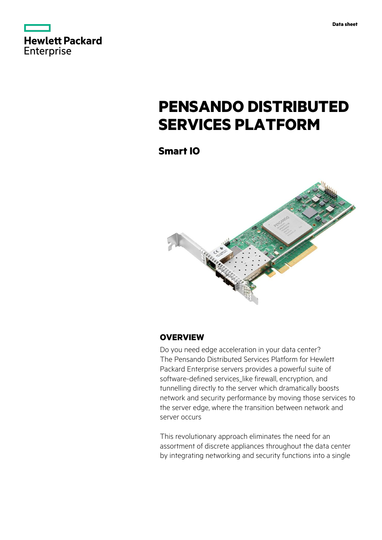



# **PENSANDO DISTRIBUTED SERVICES PLATFORM**

**Smart IO**



## **OVERVIEW**

Do you need edge acceleration in your data center? The Pensando Distributed Services Platform for Hewlett Packard Enterprise servers provides a powerful suite of software-defined services\_like firewall, encryption, and tunnelling directly to the server which dramatically boosts network and security performance by moving those services to the server edge, where the transition between network and server occurs

This revolutionary approach eliminates the need for an assortment of discrete appliances throughout the data center by integrating networking and security functions into a single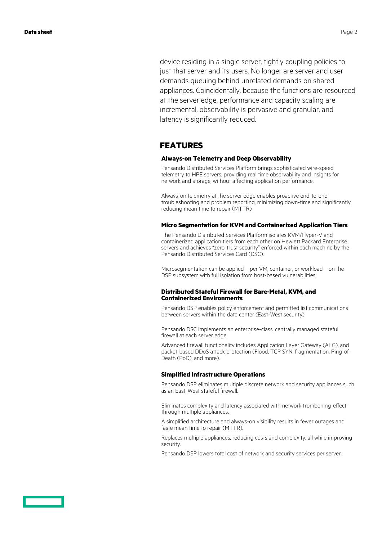device residing in a single server, tightly coupling policies to just that server and its users. No longer are server and user demands queuing behind unrelated demands on shared appliances. Coincidentally, because the functions are resourced at the server edge, performance and capacity scaling are incremental, observability is pervasive and granular, and latency is significantly reduced.

## **FEATURES**

### **Always-on Telemetry and Deep Observability**

Pensando Distributed Services Platform brings sophisticated wire-speed telemetry to HPE servers, providing real time observability and insights for network and storage, without affecting application performance.

Always-on telemetry at the server edge enables proactive end-to-end troubleshooting and problem reporting, minimizing down-time and significantly reducing mean time to repair (MTTR).

### **Micro Segmentation for KVM and Containerized Application Tiers**

The Pensando Distributed Services Platform isolates KVM/Hyper-V and containerized application tiers from each other on Hewlett Packard Enterprise servers and achieves "zero-trust security" enforced within each machine by the Pensando Distributed Services Card (DSC).

Microsegmentation can be applied – per VM, container, or workload – on the DSP subsystem with full isolation from host-based vulnerabilities.

### **Distributed Stateful Firewall for Bare-Metal, KVM, and Containerized Environments**

Pensando DSP enables policy enforcement and permitted list communications between servers within the data center (East-West security).

Pensando DSC implements an enterprise-class, centrally managed stateful firewall at each server edge.

Advanced firewall functionality includes Application Layer Gateway (ALG), and packet-based DDoS attack protection (Flood, TCP SYN, fragmentation, Ping-of-Death (PoD), and more).

### **Simplified Infrastructure Operations**

Pensando DSP eliminates multiple discrete network and security appliances such as an East-West stateful firewall.

Eliminates complexity and latency associated with network tromboning-effect through multiple appliances.

A simplified architecture and always-on visibility results in fewer outages and faste mean time to repair (MTTR).

Replaces multiple appliances, reducing costs and complexity, all while improving security.

Pensando DSP lowers total cost of network and security services per server.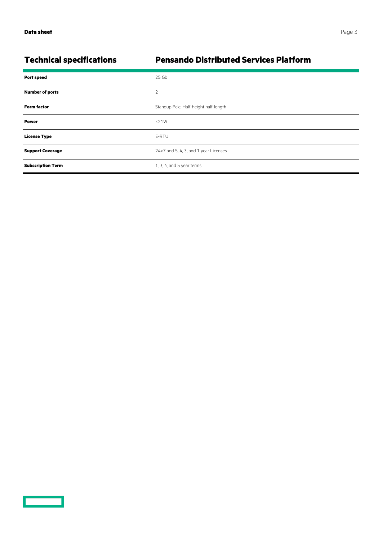**Contract Contract Contract** 

## **Technical specifications Pensando Distributed Services Platform**

| <b>Port speed</b>        | 25 Gb                                 |
|--------------------------|---------------------------------------|
| <b>Number of ports</b>   | 2                                     |
| <b>Form factor</b>       | Standup Pcie, Half-height half-length |
| <b>Power</b>             | <21W                                  |
| <b>License Type</b>      | E-RTU                                 |
| <b>Support Coverage</b>  | 24x7 and 5, 4, 3, and 1 year Licenses |
| <b>Subscription Term</b> | 1, 3, 4, and 5 year terms             |